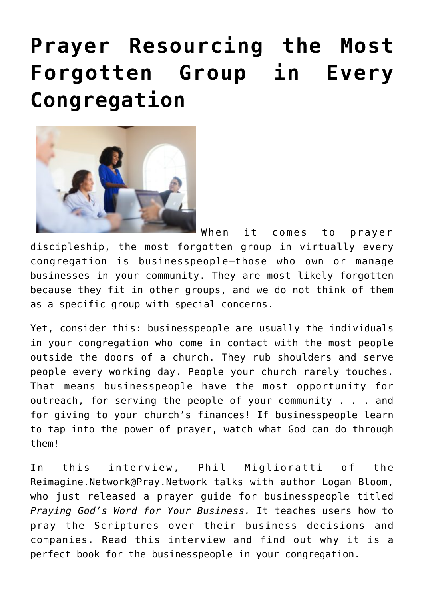## **[Prayer Resourcing the Most](https://www.prayerleader.com/prayer-resourcing-the-most-forgotten-group-in-every-congrergation/) [Forgotten Group in Every](https://www.prayerleader.com/prayer-resourcing-the-most-forgotten-group-in-every-congrergation/) [Congregation](https://www.prayerleader.com/prayer-resourcing-the-most-forgotten-group-in-every-congrergation/)**



When it comes to prayer discipleship, the most forgotten group in virtually every congregation is businesspeople–those who own or manage businesses in your community. They are most likely forgotten because they fit in other groups, and we do not think of them as a specific group with special concerns.

Yet, consider this: businesspeople are usually the individuals in your congregation who come in contact with the most people outside the doors of a church. They rub shoulders and serve people every working day. People your church rarely touches. That means businesspeople have the most opportunity for outreach, for serving the people of your community . . . and for giving to your church's finances! If businesspeople learn to tap into the power of prayer, watch what God can do through them!

In this interview, Phil Miglioratti of the [Reimagine.Network@Pray.Network](https://praynetwork.ning.com/) talks with author Logan Bloom, who just released a prayer guide for businesspeople titled *[Praying God's Word for Your Business.](https://prayershop.org/praying-gods-word-for-your-business/)* It teaches users how to pray the Scriptures over their business decisions and companies. Read this interview and find out why it is a perfect book for the businesspeople in your congregation.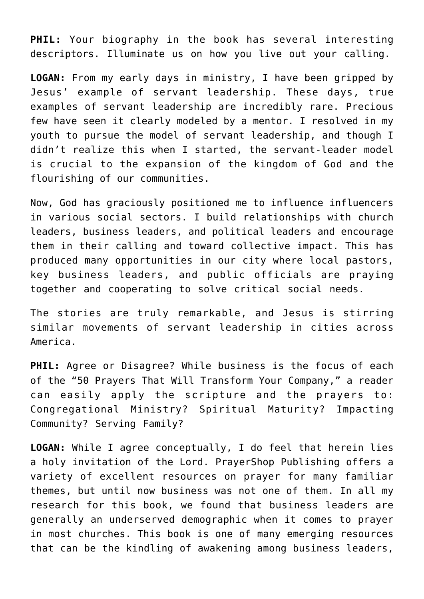**PHIL:** Your biography in the book has several interesting descriptors. Illuminate us on how you live out your calling.

**LOGAN:** From my early days in ministry, I have been gripped by Jesus' example of servant leadership. These days, true examples of servant leadership are incredibly rare. Precious few have seen it clearly modeled by a mentor. I resolved in my youth to pursue the model of servant leadership, and though I didn't realize this when I started, the servant-leader model is crucial to the expansion of the kingdom of God and the flourishing of our communities.

Now, God has graciously positioned me to influence influencers in various social sectors. I build relationships with church leaders, business leaders, and political leaders and encourage them in their calling and toward collective impact. This has produced many opportunities in our city where local pastors, key business leaders, and public officials are praying together and cooperating to solve critical social needs.

The stories are truly remarkable, and Jesus is stirring similar movements of servant leadership in cities across America.

**PHIL:** Agree or Disagree? While business is the focus of each of the "50 Prayers That Will Transform Your Company," a reader can easily apply the scripture and the prayers to: Congregational Ministry? Spiritual Maturity? Impacting Community? Serving Family?

**LOGAN:** While I agree conceptually, I do feel that herein lies a holy invitation of the Lord. PrayerShop Publishing offers a variety of excellent resources on prayer for many familiar themes, but until now business was not one of them. In all my research for this book, we found that business leaders are generally an underserved demographic when it comes to prayer in most churches. This book is one of many emerging resources that can be the kindling of awakening among business leaders,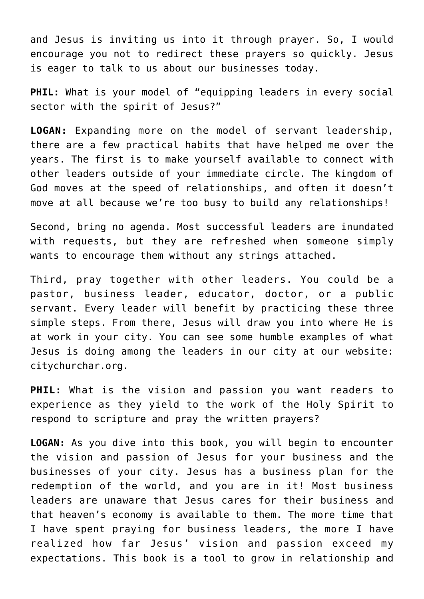and Jesus is inviting us into it through prayer. So, I would encourage you not to redirect these prayers so quickly. Jesus is eager to talk to us about our businesses today.

**PHIL:** What is your model of "equipping leaders in every social sector with the spirit of Jesus?"

**LOGAN:** Expanding more on the model of servant leadership, there are a few practical habits that have helped me over the years. The first is to make yourself available to connect with other leaders outside of your immediate circle. The kingdom of God moves at the speed of relationships, and often it doesn't move at all because we're too busy to build any relationships!

Second, bring no agenda. Most successful leaders are inundated with requests, but they are refreshed when someone simply wants to encourage them without any strings attached.

Third, pray together with other leaders. You could be a pastor, business leader, educator, doctor, or a public servant. Every leader will benefit by practicing these three simple steps. From there, Jesus will draw you into where He is at work in your city. You can see some humble examples of what Jesus is doing among the leaders in our city at our website: [citychurchar.org.](https://citychurchar.org)

**PHIL:** What is the vision and passion you want readers to experience as they yield to the work of the Holy Spirit to respond to scripture and pray the written prayers?

**LOGAN:** As you dive into this book, you will begin to encounter the vision and passion of Jesus for your business and the businesses of your city. Jesus has a business plan for the redemption of the world, and you are in it! Most business leaders are unaware that Jesus cares for their business and that heaven's economy is available to them. The more time that I have spent praying for business leaders, the more I have realized how far Jesus' vision and passion exceed my expectations. This book is a tool to grow in relationship and